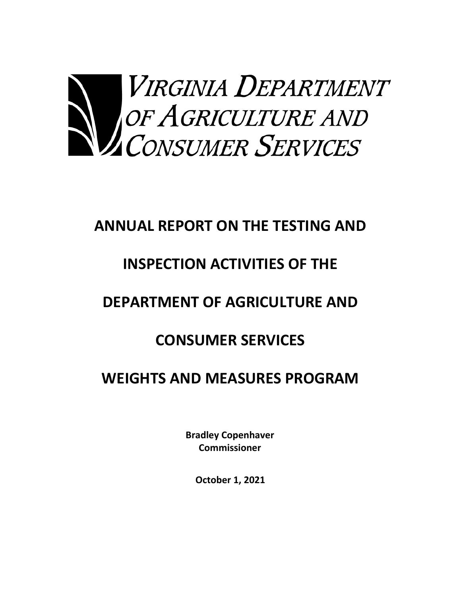

## **ANNUAL REPORT ON THE TESTING AND**

# **INSPECTION ACTIVITIES OF THE**

# **DEPARTMENT OF AGRICULTURE AND**

## **CONSUMER SERVICES**

## **WEIGHTS AND MEASURES PROGRAM**

**Bradley Copenhaver Commissioner**

**October 1, 2021**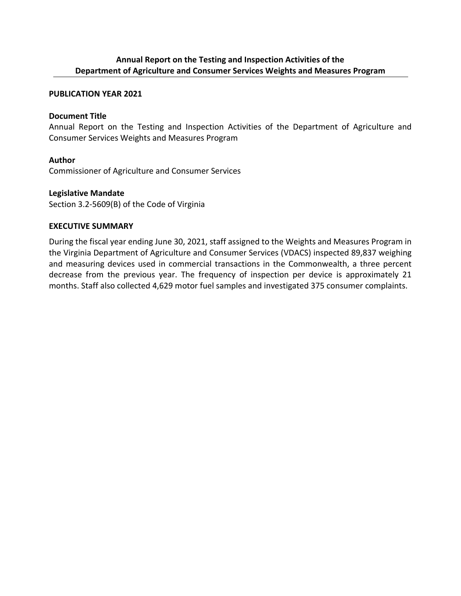#### **Annual Report on the Testing and Inspection Activities of the Department of Agriculture and Consumer Services Weights and Measures Program**

#### **PUBLICATION YEAR 2021**

#### **Document Title**

Annual Report on the Testing and Inspection Activities of the Department of Agriculture and Consumer Services Weights and Measures Program

#### **Author**

Commissioner of Agriculture and Consumer Services

#### **Legislative Mandate**

Section 3.2‐5609(B) of the Code of Virginia

#### **EXECUTIVE SUMMARY**

During the fiscal year ending June 30, 2021, staff assigned to the Weights and Measures Program in the Virginia Department of Agriculture and Consumer Services (VDACS) inspected 89,837 weighing and measuring devices used in commercial transactions in the Commonwealth, a three percent decrease from the previous year. The frequency of inspection per device is approximately 21 months. Staff also collected 4,629 motor fuel samples and investigated 375 consumer complaints.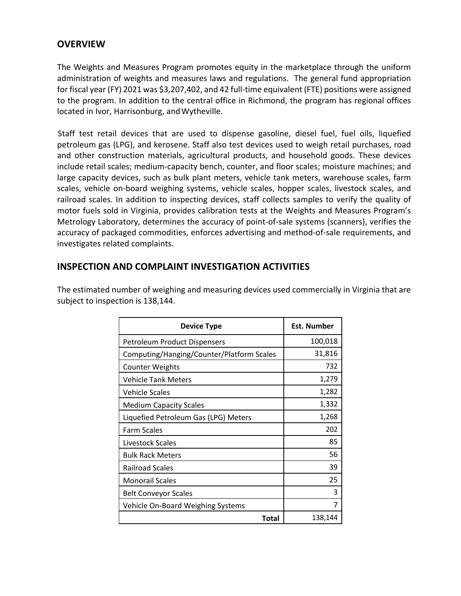### **OVERVIEW**

The Weights and Measures Program promotes equity in the marketplace through the uniform administration of weights and measures laws and regulations. The general fund appropriation for fiscal year (FY) 2021 was \$3,207,402, and 42 full-time equivalent (FTE) positions were assigned to the program. In addition to the central office in Richmond, the program has regional offices located in Ivor, Harrisonburg, and Wytheville.

Staff test retail devices that are used to dispense gasoline, diesel fuel, fuel oils, liquefied petroleum gas (LPG), and kerosene. Staff also test devices used to weigh retail purchases, road and other construction materials, agricultural products, and household goods. These devices include retail scales; medium‐capacity bench, counter, and floor scales; moisture machines; and large capacity devices, such as bulk plant meters, vehicle tank meters, warehouse scales, farm scales, vehicle on‐board weighing systems, vehicle scales, hopper scales, livestock scales, and railroad scales. In addition to inspecting devices, staff collects samples to verify the quality of motor fuels sold in Virginia, provides calibration tests at the Weights and Measures Program's Metrology Laboratory, determines the accuracy of point-of-sale systems (scanners), verifies the accuracy of packaged commodities, enforces advertising and method‐of‐sale requirements, and investigates related complaints.

### **INSPECTION AND COMPLAINT INVESTIGATION ACTIVITIES**

The estimated number of weighing and measuring devices used commercially in Virginia that are subject to inspection is 138,144.

| <b>Device Type</b>                        | Est. Number |
|-------------------------------------------|-------------|
| <b>Petroleum Product Dispensers</b>       | 100,018     |
| Computing/Hanging/Counter/Platform Scales | 31,816      |
| <b>Counter Weights</b>                    | 732         |
| <b>Vehicle Tank Meters</b>                | 1,279       |
| <b>Vehicle Scales</b>                     | 1,282       |
| <b>Medium Capacity Scales</b>             | 1,332       |
| Liquefied Petroleum Gas (LPG) Meters      | 1,268       |
| <b>Farm Scales</b>                        | 202         |
| Livestock Scales                          | 85          |
| <b>Bulk Rack Meters</b>                   | 56          |
| <b>Railroad Scales</b>                    | 39          |
| <b>Monorail Scales</b>                    | 25          |
| <b>Belt Conveyor Scales</b>               | 3           |
| Vehicle On-Board Weighing Systems         | 7           |
| <b>Total</b>                              | 138,144     |